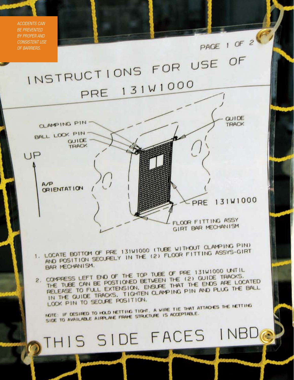*Accidents can be prevented* PAGE 1 OF 2 *by proper and consistent use of barriers.*INSTRUCTIONS FOR USE OF PRE 131W1000 **GUIDE** CLAMPING PIN TRACK BALL LOCK PIN-GUIDE TRACK UP  $A/P$ ORIENTATION PRE 131W1000 FLOOR FITTING ASSY GIRT BAR MECHANISM 1. LOCATE BOTTOM OF PRE 131W1000 (TUBE WITHOUT CLAMPING PIN) LOCATE BOTTOM OF PRE 131W1000 (TUBE WITHOUT CLAMPING ASSYS-GIRT BAR MECHANISM. BAR MECHANISM.<br>2. COMPRESS LEFT END OF THE TOP TUBE OF PRE 131W1000 UNTIL<br>2. COMPRESS LEFT END OF THE TOP TUBEN THE (2) GUIDE TRACKS. COMPRESS LEFT END OF THE TOP TUBE OF PRE 131W1000 TRACKS. THE TUBE CAN BE POSTIONED BETWEEN THE (2) GUIDE THAT ENDS ARE LOCATED<br>RELEASE TO FULL EXTENSION, ENSURE THAT THE ENDS ARE LOCATED THE TUBE CAN BE POSITION. ENSURE THAT THE ENDS ARE LOCATED AND PLUG THE BALL IN THE GUIDE TRACKS. TIGHTEN CLAMPING PIN AND PLUG THE BALL LOCK PIN TO SECURE POSITION. NOTE: IF DESIRED TO HOLD NETTING TIGHT. A VIRE TIE THAT ATTACHES THE NETTING NOTE: IF DESIRED TO HOLD NETTING TIGHT. A VIRE ACCEPTABLE.<br>SIDE TO AVAILABLE AIRPLANE FRAME STRUCTURE IS ACCEPTABLE. OTHIS SIDE FACES INBD

aero quarterly quarterly quarterly quarterly quarterly quarterly quarterly quarterly quarterly quarterly quarterly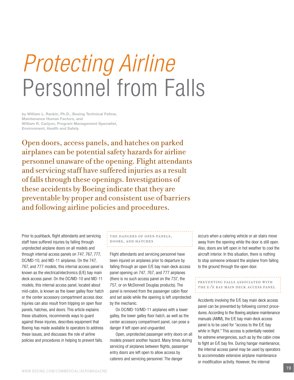# *Protecting Airline* Personnel from Falls

by William L. Rankin, Ph.D., Boeing Technical Fellow, Maintenance Human Factors, and William R. Carlyon, Program Management Specialist, Environment, Health and Safety

Open doors, access panels, and hatches on parked airplanes can be potential safety hazards for airline personnel unaware of the opening. Flight attendants and servicing staff have suffered injuries as a result of falls through these openings. Investigations of these accidents by Boeing indicate that they are preventable by proper and consistent use of barriers and following airline policies and procedures.

Prior to pushback, flight attendants and servicing staff have suffered injuries by falling through unprotected airplane doors on all models and through internal access panels on 747, 767, 777, DC/MD -10, and MD -11 airplanes. On the 747, 767, and 777 models, this internal access panel is known as the electrical/electronics (E/E) bay main deck access panel. On the DC/MD -10 and MD -11 models, this internal access panel, located about mid-cabin, is known as the lower galley floor hatch or the center accessory compartment access door. Injuries can also result from tripping on open floor panels, hatches, and doors. This article explains these situations, recommends ways to guard against these injuries, describes equipment that Boeing has made available to operators to address these issues, and discusses the role of airline policies and procedures in helping to prevent falls.

#### The dangers of open panels, doors, and hatches

Flight attendants and servicing personnel have been injured on airplanes prior to departure by falling through an open E/E bay main deck access panel opening on 747, 767, and 777 airplanes (there is no such access panel on the 737, the 757, or on McDonnell Douglas products). The panel is removed from the passenger cabin floor and set aside while the opening is left unprotected by the mechanic.

On DC/MD-10/MD-11 airplanes with a lower galley, the lower galley floor hatch, as well as the center accessory compartment panel, can pose a danger if left open and unguarded.

Open, unprotected passenger entry doors on all models present another hazard. Many times during servicing of airplanes between flights, passenger entry doors are left open to allow access by caterers and servicing personnel. The danger

occurs when a catering vehicle or air stairs move away from the opening while the door is still open. Also, doors are left open in hot weather to cool the aircraft interior. In this situation, there is nothing to stop someone onboard the airplane from falling to the ground through the open door.

#### Preventing falls associated with THE E E BAY MAIN DECK ACCESS PANEL

Accidents involving the E/E bay main deck access panel can be prevented by following correct procedures. According to the Boeing airplane maintenance manuals (AMM), the E/E bay main deck access panel is to be used for "access to the E/E bay while in flight." This access is potentially needed for extreme emergencies, such as by the cabin crew to fight an E/E bay fire. During hangar maintenance, the internal access panel may be used by operators to accommodate extensive airplane maintenance or modification activity. However, the internal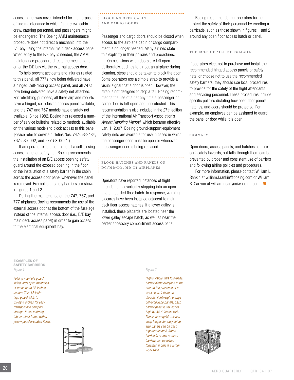access panel was never intended for the purpose of line maintenance in which flight crew, cabin crew, catering personnel, and passengers might be endangered. The Boeing AMM maintenance procedure does not direct a mechanic into the E/E bay using the internal main deck access panel. When entry to the E/E bay is needed, the AMM maintenance procedure directs the mechanic to enter the E/E bay via the external access door.

To help prevent accidents and injuries related to this panel, all 777s now being delivered have a hinged, self-closing access panel, and all 747s now being delivered have a safety net attached. For retrofitting purposes, all three airplane models have a hinged, self-closing access panel available, and the 747 and 767 models have a safety net available. Since 1982, Boeing has released a number of service bulletins related to methods available on the various models to block access to this panel. (Please refer to service bulletins Nos. 747-53-2434, 767-53-0092, and 777-53-0021.)

If an operator elects not to install a self-closing access panel or safety net, Boeing recommends the installation of an E/E access opening safety guard around the exposed opening in the floor or the installation of a safety barrier in the cabin across the access door panel whenever the panel is removed. Examples of safety barriers are shown in figures 1 and 2.

During line maintenance on the 747, 767, and 777 airplanes, Boeing recommends the use of the external access door at the bottom of the fuselage instead of the internal access door (i.e., E/E bay main deck access panel) in order to gain access to the electrical equipment bay.

blocking open cabin and cargo doors 

Passenger and cargo doors should be closed when access to the airplane cabin or cargo compartment is no longer needed. Many airlines state this explicitly in their policies and procedures.

On occasions when doors are left open deliberately, such as to air out an airplane during cleaning, steps should be taken to block the door. Some operators use a simple strap to provide a visual signal that a door is open. However, the strap is not designed to stop a fall. Boeing recommends the use of a net any time a passenger or cargo door is left open and unprotected. This recommendation is also included in the 27th edition of the International Air Transport Association's *Airport Handling Manual,* which became effective Jan. 1, 2007. Boeing ground-support-equipment safety nets are available for use in cases in which the passenger door must be open or whenever a passenger door is being replaced.

#### Floor hatches and panels on DC/MD-10, MD-11 airplanes

Operators have reported instances of flight attendants inadvertently stepping into an open and unguarded floor hatch. In response, warning placards have been installed adjacent to main deck floor access hatches. If a lower galley is installed, these placards are located near the lower galley escape hatch, as well as near the center accessory compartment access panel.

Boeing recommends that operators further protect the safety of their personnel by erecting a barricade, such as those shown in figures 1 and 2 around any open floor access hatch or panel.

### The role of airline policies

If operators elect not to purchase and install the recommended hinged access panels or safety nets, or choose not to use the recommended safety barriers, they should use local procedures to provide for the safety of the flight attendants and servicing personnel. These procedures include specific policies dictating how open floor panels, hatches, and doors should be protected. For example, an employee can be assigned to guard the panel or door while it is open.

## **SUMMARY**

Open doors, access panels, and hatches can present safety hazards, but falls through them can be prevented by proper and consistent use of barriers and following airline policies and procedures.

For more information, please contact William L. Rankin at william.l.rankin@boeing.com or William R. Carlyon at william.r.carlyon@boeing.com. A

EXAMPLES OF safety barrierS *Figure 1*

*Folding manhole guard safeguards open manholes or areas up to 33 inches square. This 42-inchhigh guard folds to 33-by-4 inches for easy transport and compact storage. It has a strong, tubular steel frame with a yellow powder-coated finish.* 



#### *Figure 2*

*Highly visible, this four-panel barrier alerts everyone in the area to the presence of a work zone. It features durable, lightweight orange polypropylene panels. Each barrier panel is 30 inches high by 34 ½ inches wide. Panels have quick-release snap hinges for easy setup. Two panels can be used together as an A-frame barricade or two or more barriers can be joined together to create a larger work zone.*